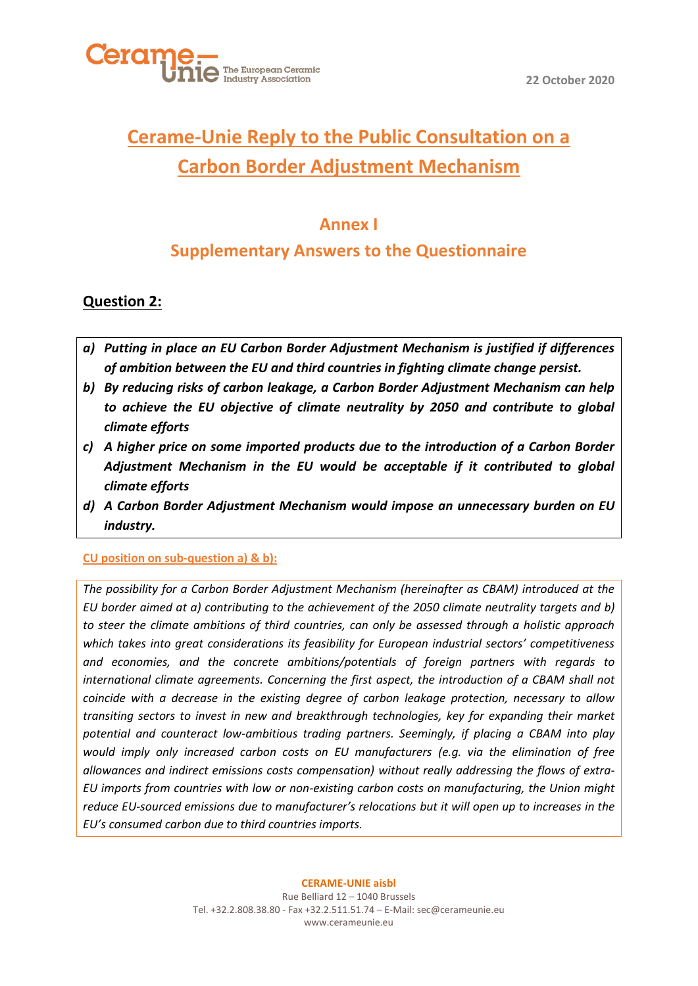



# **Cerame-Unie Reply to the Public Consultation on a Carbon Border Adjustment Mechanism**

# **Annex I**

# **Supplementary Answers to the Questionnaire**

# **Question 2:**

- *a) Putting in place an EU Carbon Border Adjustment Mechanism is justified if differences of ambition between the EU and third countries in fighting climate change persist.*
- *b) By reducing risks of carbon leakage, a Carbon Border Adjustment Mechanism can help to achieve the EU objective of climate neutrality by 2050 and contribute to global climate efforts*
- *c) A higher price on some imported products due to the introduction of a Carbon Border Adjustment Mechanism in the EU would be acceptable if it contributed to global climate efforts*
- *d) A Carbon Border Adjustment Mechanism would impose an unnecessary burden on EU industry.*

### **CU position on sub-question a) & b):**

*The possibility for a Carbon Border Adjustment Mechanism (hereinafter as CBAM) introduced at the EU border aimed at a) contributing to the achievement of the 2050 climate neutrality targets and b) to steer the climate ambitions of third countries, can only be assessed through a holistic approach which takes into great considerations its feasibility for European industrial sectors' competitiveness and economies, and the concrete ambitions/potentials of foreign partners with regards to international climate agreements. Concerning the first aspect, the introduction of a CBAM shall not coincide with a decrease in the existing degree of carbon leakage protection, necessary to allow transiting sectors to invest in new and breakthrough technologies, key for expanding their market potential and counteract low-ambitious trading partners. Seemingly, if placing a CBAM into play would imply only increased carbon costs on EU manufacturers (e.g. via the elimination of free allowances and indirect emissions costs compensation) without really addressing the flows of extra-EU imports from countries with low or non-existing carbon costs on manufacturing, the Union might reduce EU-sourced emissions due to manufacturer's relocations but it will open up to increases in the EU's consumed carbon due to third countries imports.* 

Rue Belliard 12 – 1040 Brussels Tel. +32.2.808.38.80 - Fax +32.2.511.51.74 – E-Mail: [sec@cerameunie.eu](mailto:sec@cerameunie.eu) www.cerameunie.eu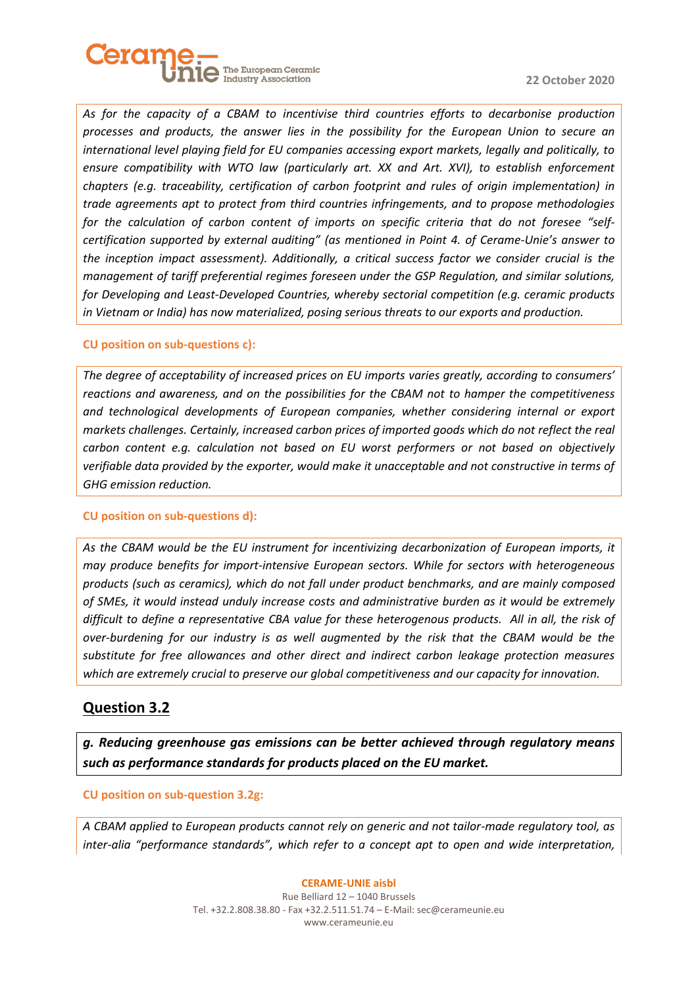

*As for the capacity of a CBAM to incentivise third countries efforts to decarbonise production processes and products, the answer lies in the possibility for the European Union to secure an international level playing field for EU companies accessing export markets, legally and politically, to ensure compatibility with WTO law (particularly art. XX and Art. XVI), to establish enforcement chapters (e.g. traceability, certification of carbon footprint and rules of origin implementation) in trade agreements apt to protect from third countries infringements, and to propose methodologies for the calculation of carbon content of imports on specific criteria that do not foresee "selfcertification supported by external auditing" (as mentioned in Point 4. of Cerame-Unie's answer to the inception impact assessment). Additionally, a critical success factor we consider crucial is the management of tariff preferential regimes foreseen under the GSP Regulation, and similar solutions, for Developing and Least-Developed Countries, whereby sectorial competition (e.g. ceramic products in Vietnam or India) has now materialized, posing serious threats to our exports and production.* 

#### **CU position on sub-questions c):**

*The degree of acceptability of increased prices on EU imports varies greatly, according to consumers' reactions and awareness, and on the possibilities for the CBAM not to hamper the competitiveness and technological developments of European companies, whether considering internal or export markets challenges. Certainly, increased carbon prices of imported goods which do not reflect the real carbon content e.g. calculation not based on EU worst performers or not based on objectively verifiable data provided by the exporter, would make it unacceptable and not constructive in terms of GHG emission reduction.* 

#### **CU position on sub-questions d):**

*As the CBAM would be the EU instrument for incentivizing decarbonization of European imports, it may produce benefits for import-intensive European sectors. While for sectors with heterogeneous products (such as ceramics), which do not fall under product benchmarks, and are mainly composed of SMEs, it would instead unduly increase costs and administrative burden as it would be extremely difficult to define a representative CBA value for these heterogenous products. All in all, the risk of over-burdening for our industry is as well augmented by the risk that the CBAM would be the substitute for free allowances and other direct and indirect carbon leakage protection measures which are extremely crucial to preserve our global competitiveness and our capacity for innovation.* 

### **Question 3.2**

*g. Reducing greenhouse gas emissions can be better achieved through regulatory means such as performance standards for products placed on the EU market.* 

#### **CU position on sub-question 3.2g:**

*A CBAM applied to European products cannot rely on generic and not tailor-made regulatory tool, as inter-alia "performance standards", which refer to a concept apt to open and wide interpretation,* 

#### **CERAME-UNIE aisbl**

Rue Belliard 12 – 1040 Brussels Tel. +32.2.808.38.80 - Fax +32.2.511.51.74 – E-Mail: [sec@cerameunie.eu](mailto:sec@cerameunie.eu) www.cerameunie.eu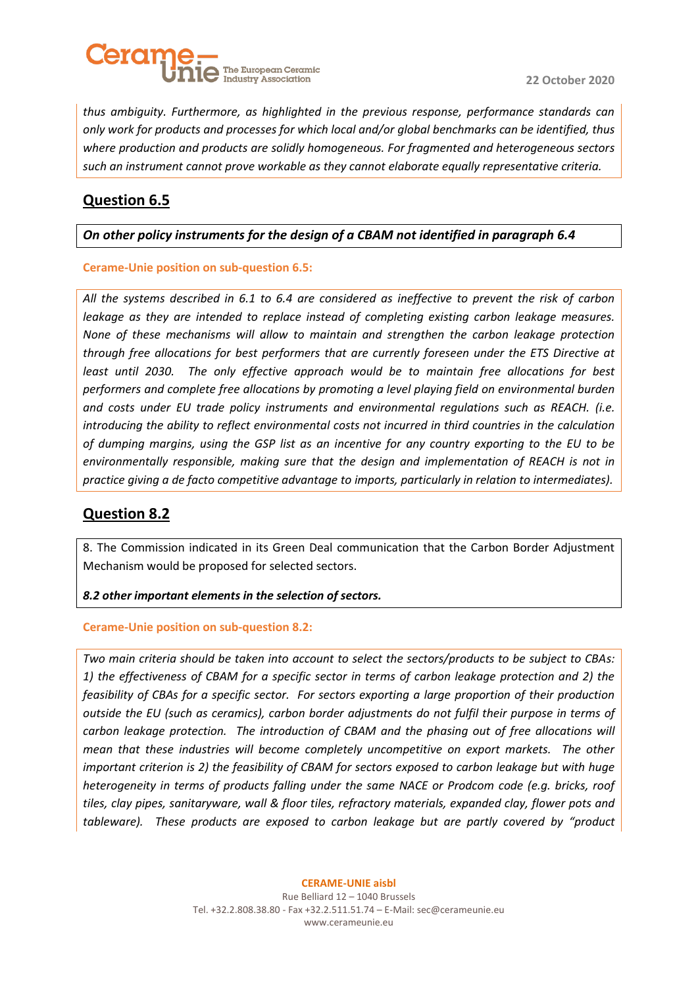

*thus ambiguity. Furthermore, as highlighted in the previous response, performance standards can only work for products and processes for which local and/or global benchmarks can be identified, thus where production and products are solidly homogeneous. For fragmented and heterogeneous sectors such an instrument cannot prove workable as they cannot elaborate equally representative criteria.* 

# **Question 6.5**

### *On other policy instruments for the design of a CBAM not identified in paragraph 6.4*

### **Cerame-Unie position on sub-question 6.5:**

*All the systems described in 6.1 to 6.4 are considered as ineffective to prevent the risk of carbon leakage as they are intended to replace instead of completing existing carbon leakage measures. None of these mechanisms will allow to maintain and strengthen the carbon leakage protection through free allocations for best performers that are currently foreseen under the ETS Directive at*  least until 2030. The only effective approach would be to maintain free allocations for best *performers and complete free allocations by promoting a level playing field on environmental burden and costs under EU trade policy instruments and environmental regulations such as REACH. (i.e. introducing the ability to reflect environmental costs not incurred in third countries in the calculation of dumping margins, using the GSP list as an incentive for any country exporting to the EU to be environmentally responsible, making sure that the design and implementation of REACH is not in practice giving a de facto competitive advantage to imports, particularly in relation to intermediates).*

# **Question 8.2**

8. The Commission indicated in its Green Deal communication that the Carbon Border Adjustment Mechanism would be proposed for selected sectors.

### *8.2 other important elements in the selection of sectors.*

#### **Cerame-Unie position on sub-question 8.2:**

*Two main criteria should be taken into account to select the sectors/products to be subject to CBAs: 1) the effectiveness of CBAM for a specific sector in terms of carbon leakage protection and 2) the feasibility of CBAs for a specific sector. For sectors exporting a large proportion of their production outside the EU (such as ceramics), carbon border adjustments do not fulfil their purpose in terms of carbon leakage protection. The introduction of CBAM and the phasing out of free allocations will mean that these industries will become completely uncompetitive on export markets. The other important criterion is 2) the feasibility of CBAM for sectors exposed to carbon leakage but with huge heterogeneity in terms of products falling under the same NACE or Prodcom code (e.g. bricks, roof tiles, clay pipes, sanitaryware, wall & floor tiles, refractory materials, expanded clay, flower pots and tableware). These products are exposed to carbon leakage but are partly covered by "product* 

Rue Belliard 12 – 1040 Brussels Tel. +32.2.808.38.80 - Fax +32.2.511.51.74 – E-Mail: [sec@cerameunie.eu](mailto:sec@cerameunie.eu) www.cerameunie.eu